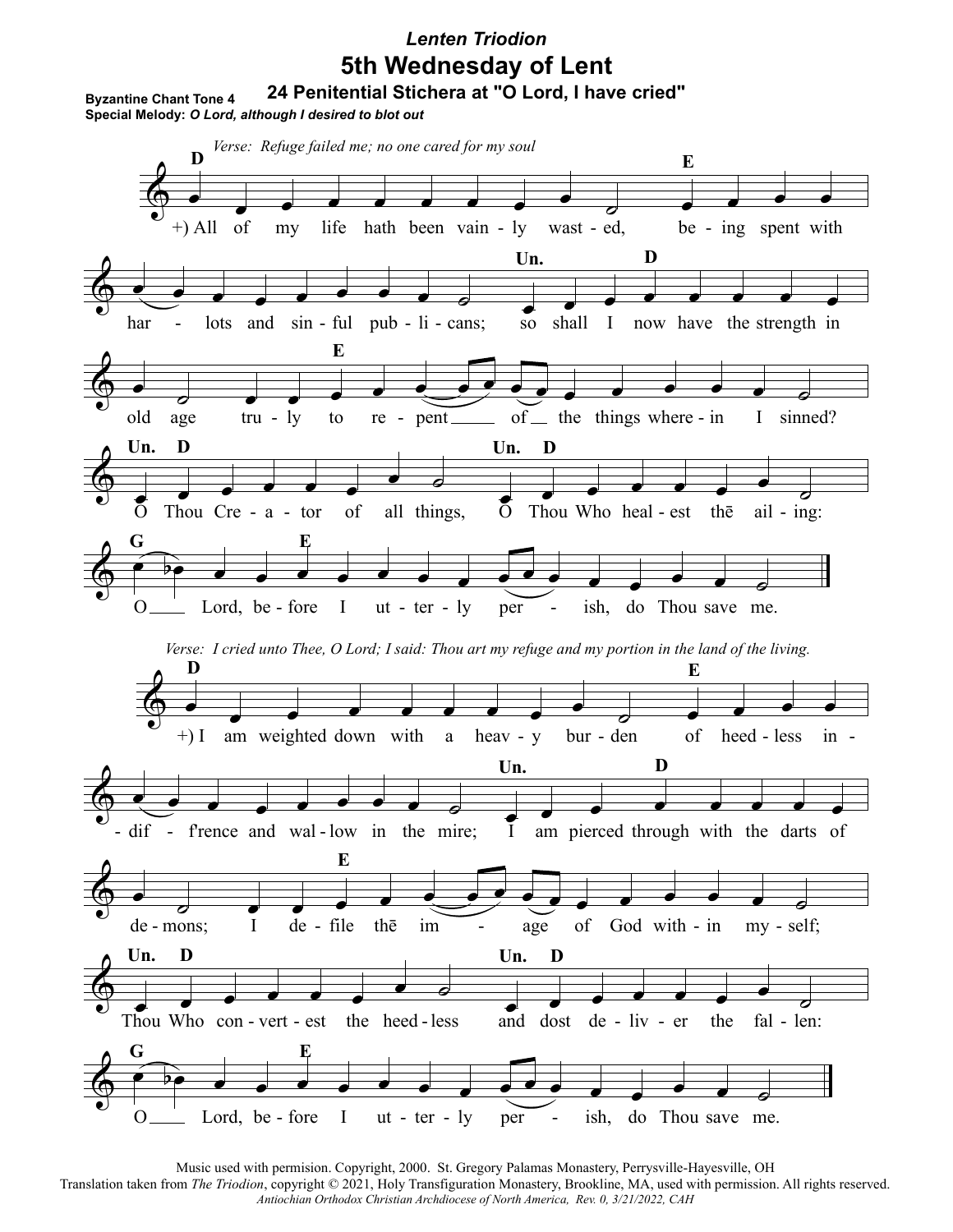# *Lenten Triodion* **5th Wednesday of Lent**

**24 Penitential Stichera at "O Lord, I have cried"**

**Byzantine Chant Tone 4 Special Melody:** *O Lord, although I desired to blot out*

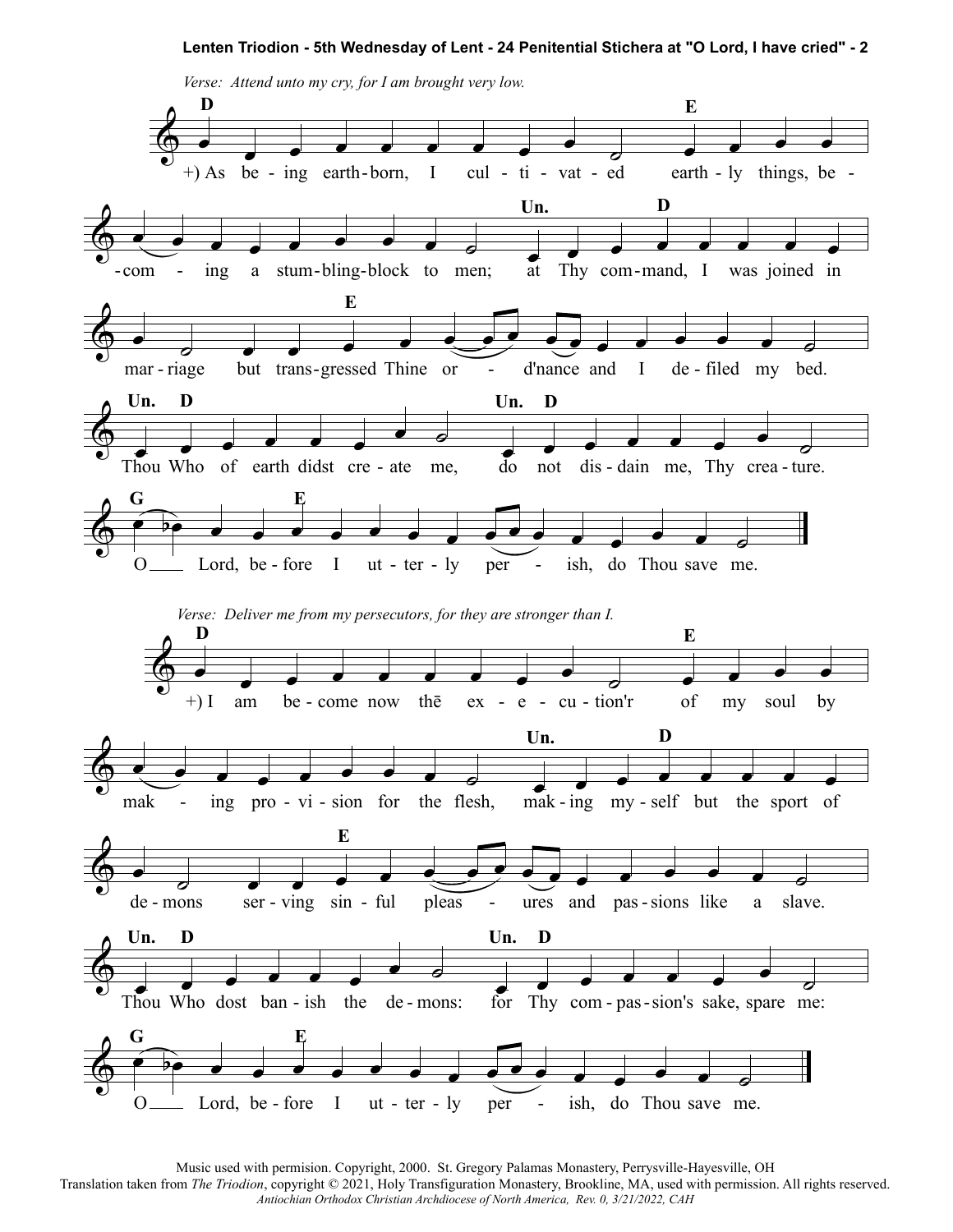

Music used with permision. Copyright, 2000. St. Gregory Palamas Monastery, Perrysville-Hayesville, OH

Translation taken from *The Triodion*, copyright © 2021, Holy Transfiguration Monastery, Brookline, MA, used with permission. All rights reserved. *Antiochian Orthodox Christian Archdiocese of North America, Rev. 0, 3/21/2022, CAH*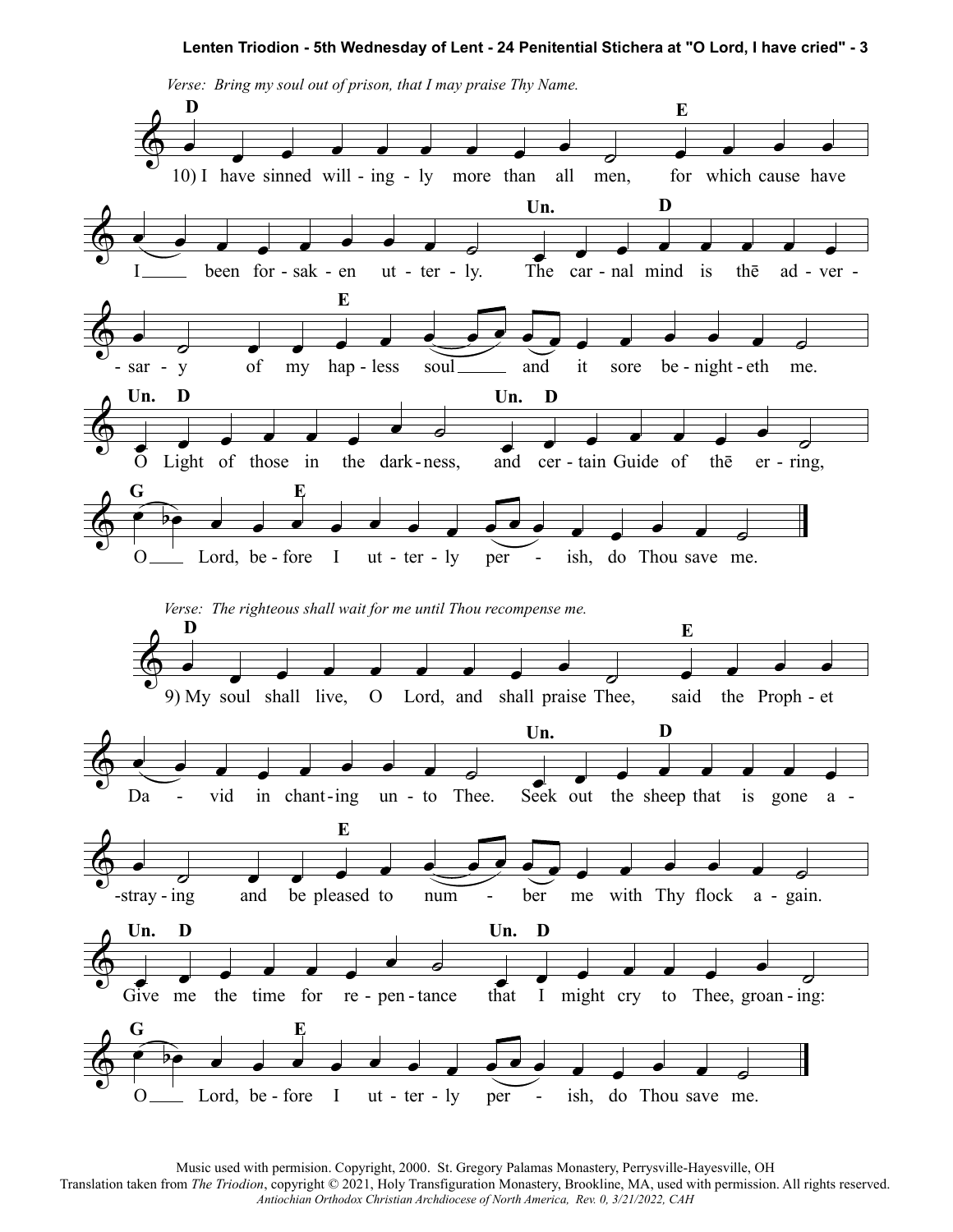

Music used with permision. Copyright, 2000. St. Gregory Palamas Monastery, Perrysville-Hayesville, OH

Translation taken from *The Triodion*, copyright © 2021, Holy Transfiguration Monastery, Brookline, MA, used with permission. All rights reserved. *Antiochian Orthodox Christian Archdiocese of North America, Rev. 0, 3/21/2022, CAH*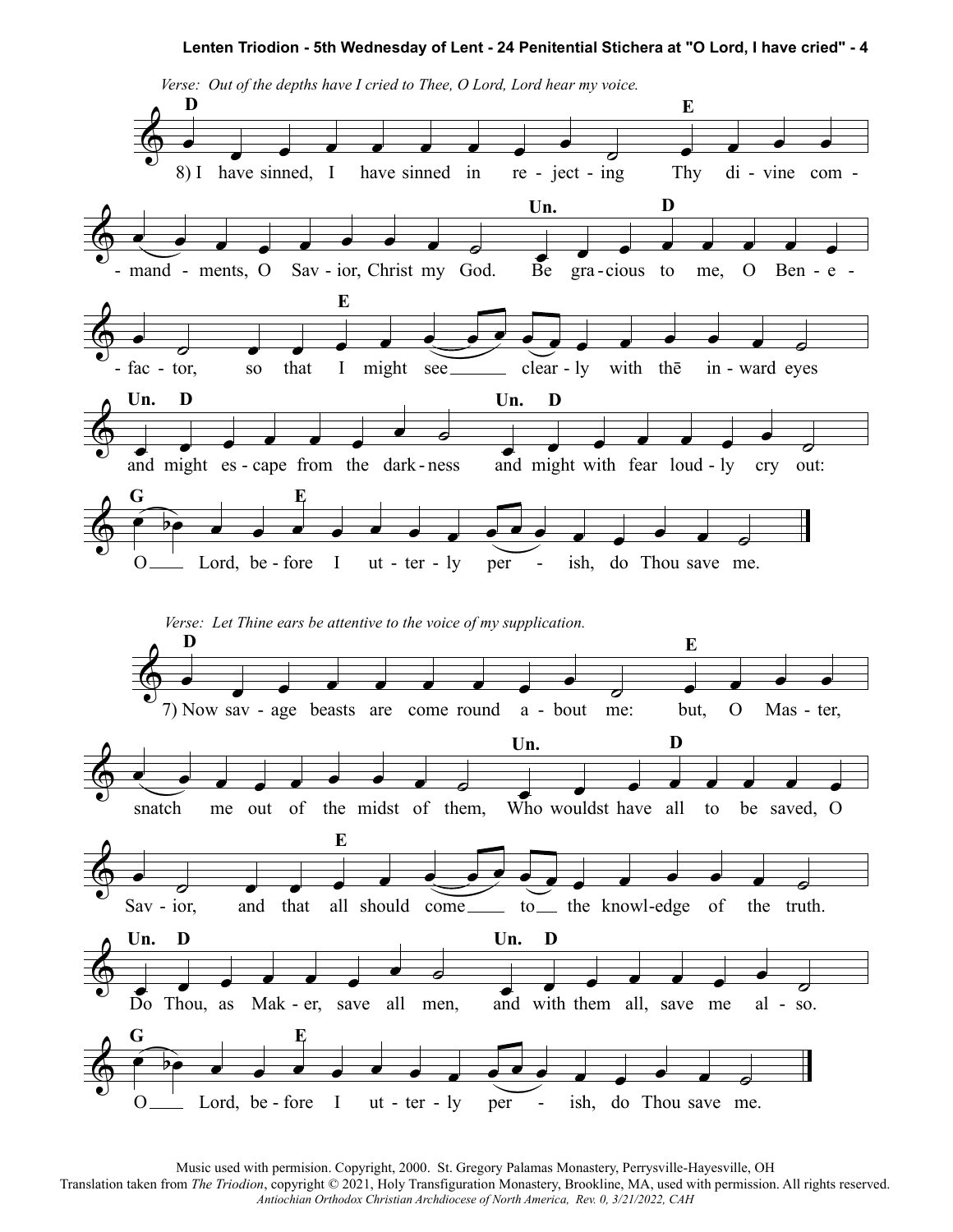

Music used with permision. Copyright, 2000. St. Gregory Palamas Monastery, Perrysville-Hayesville, OH Translation taken from *The Triodion*, copyright © 2021, Holy Transfiguration Monastery, Brookline, MA, used with permission. All rights reserved.

*Antiochian Orthodox Christian Archdiocese of North America, Rev. 0, 3/21/2022, CAH*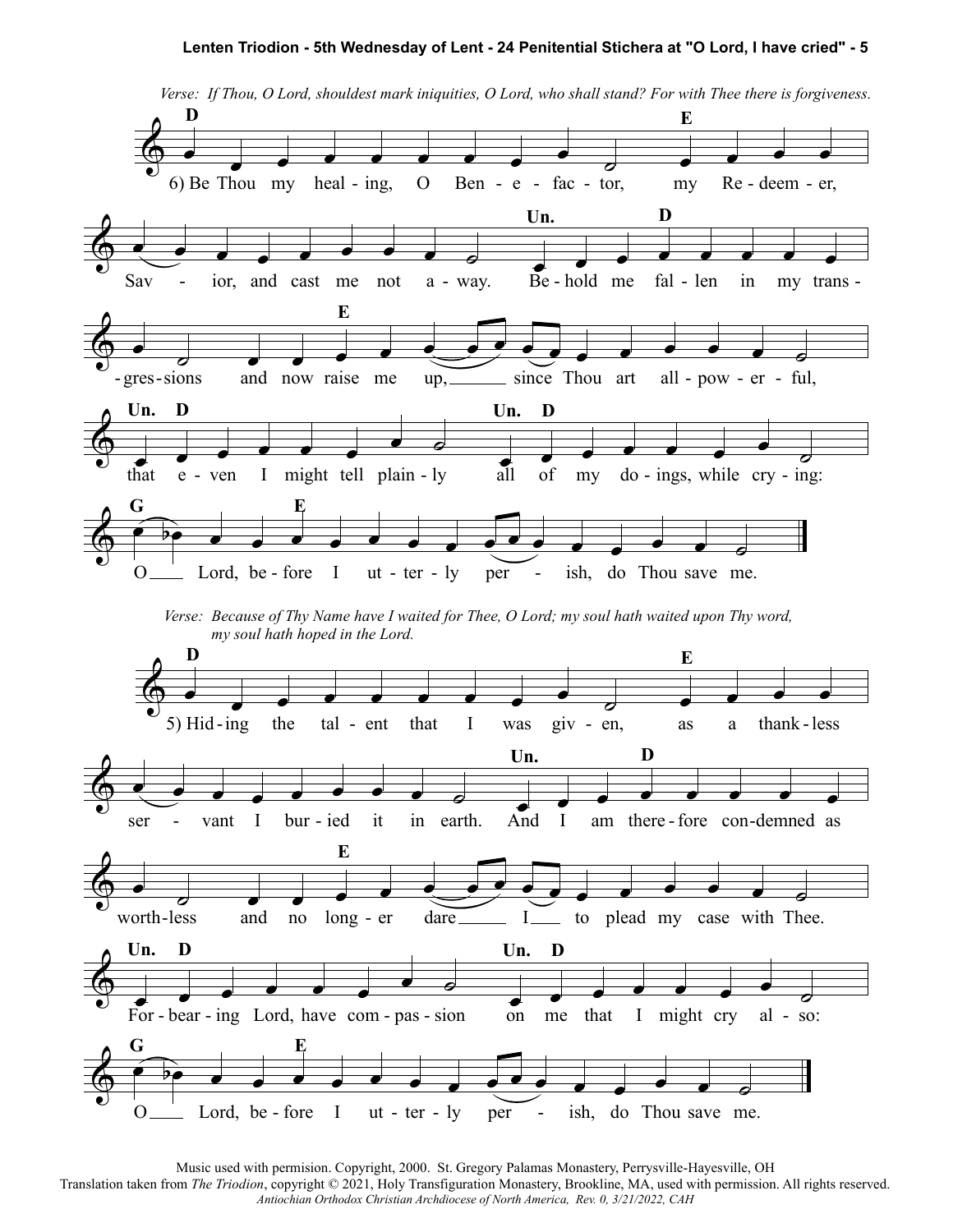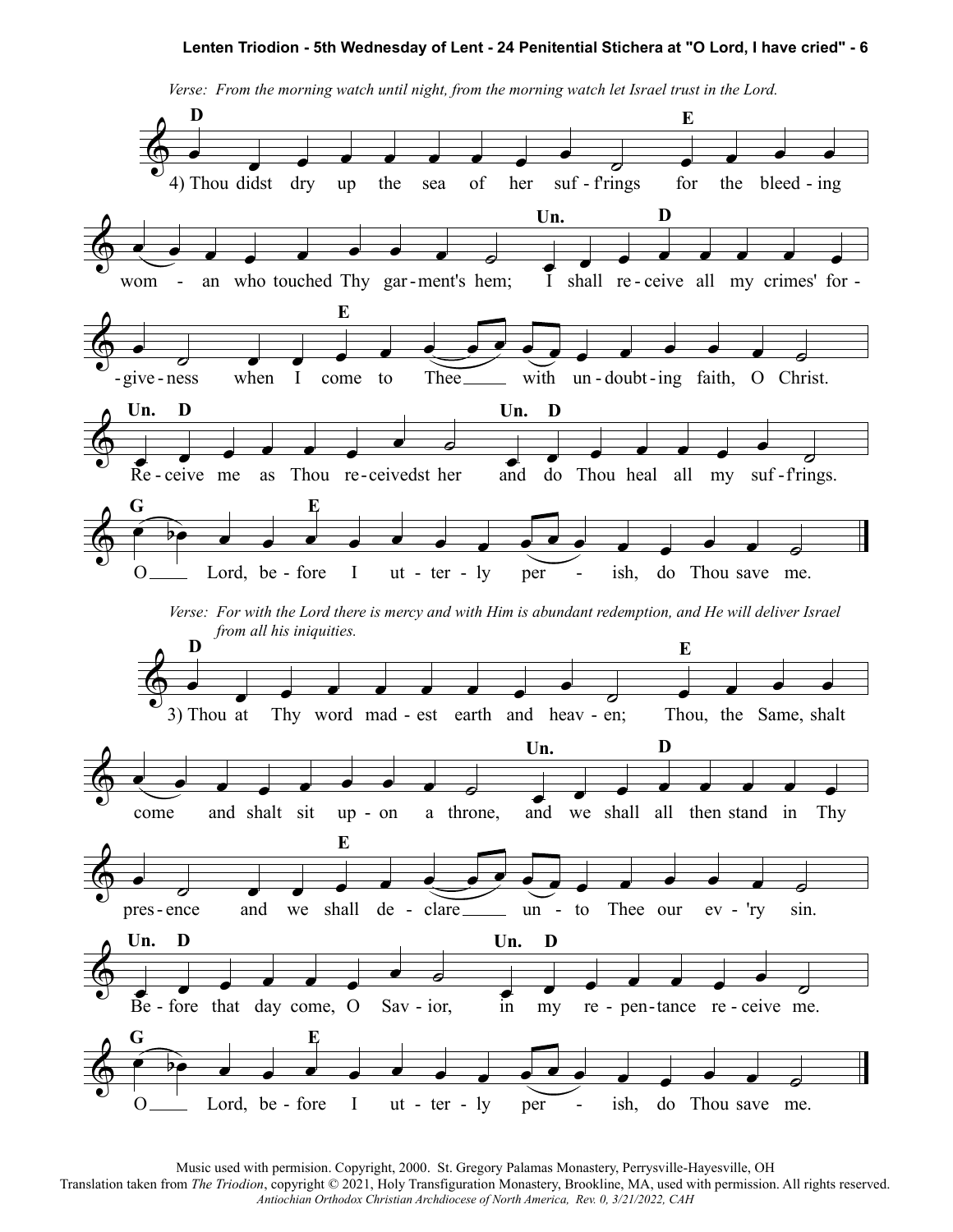

*Verse: From the morning watch until night, from the morning watch let Israel trust in the Lord.*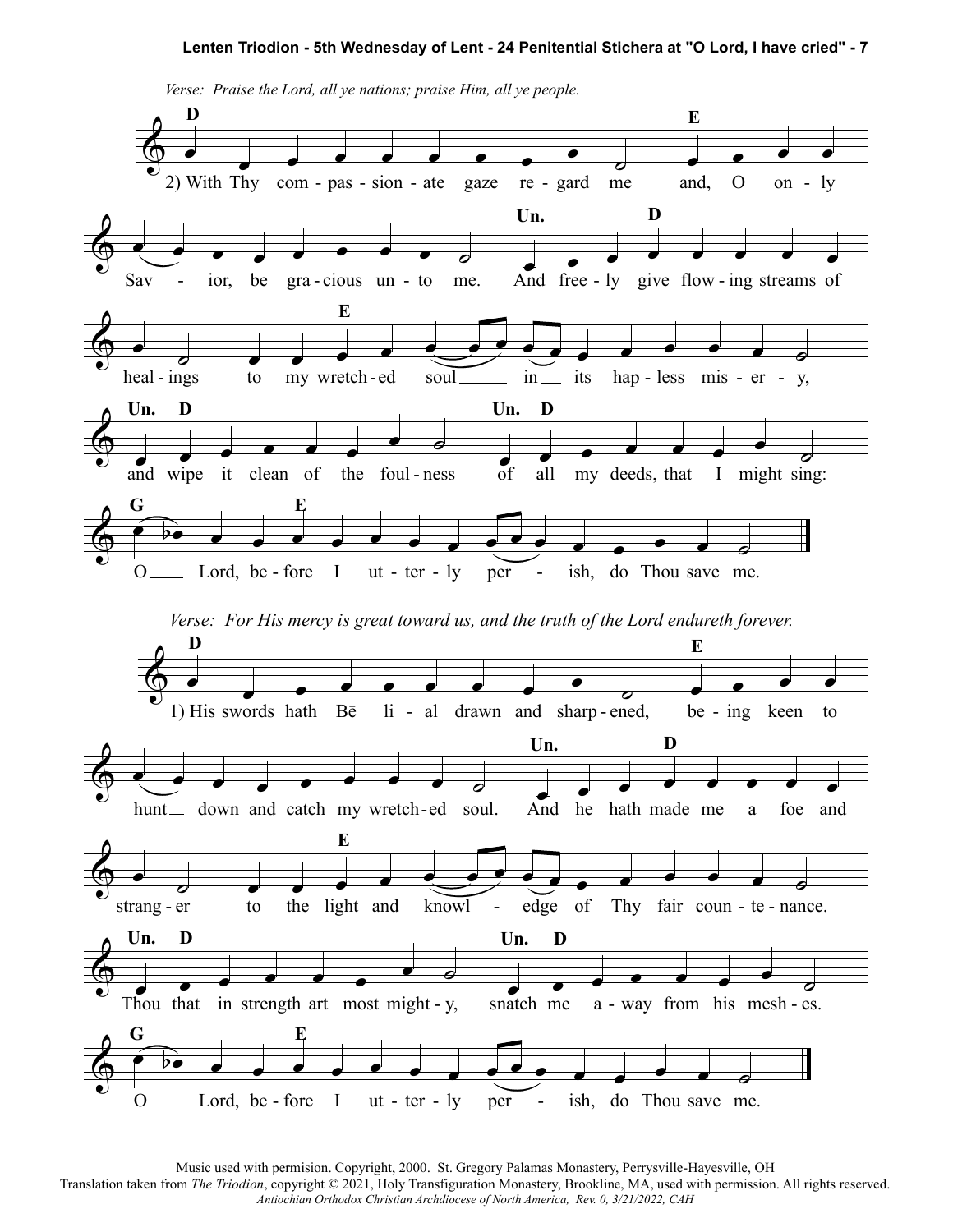

*Verse: Praise the Lord, all ye nations; praise Him, all ye people.*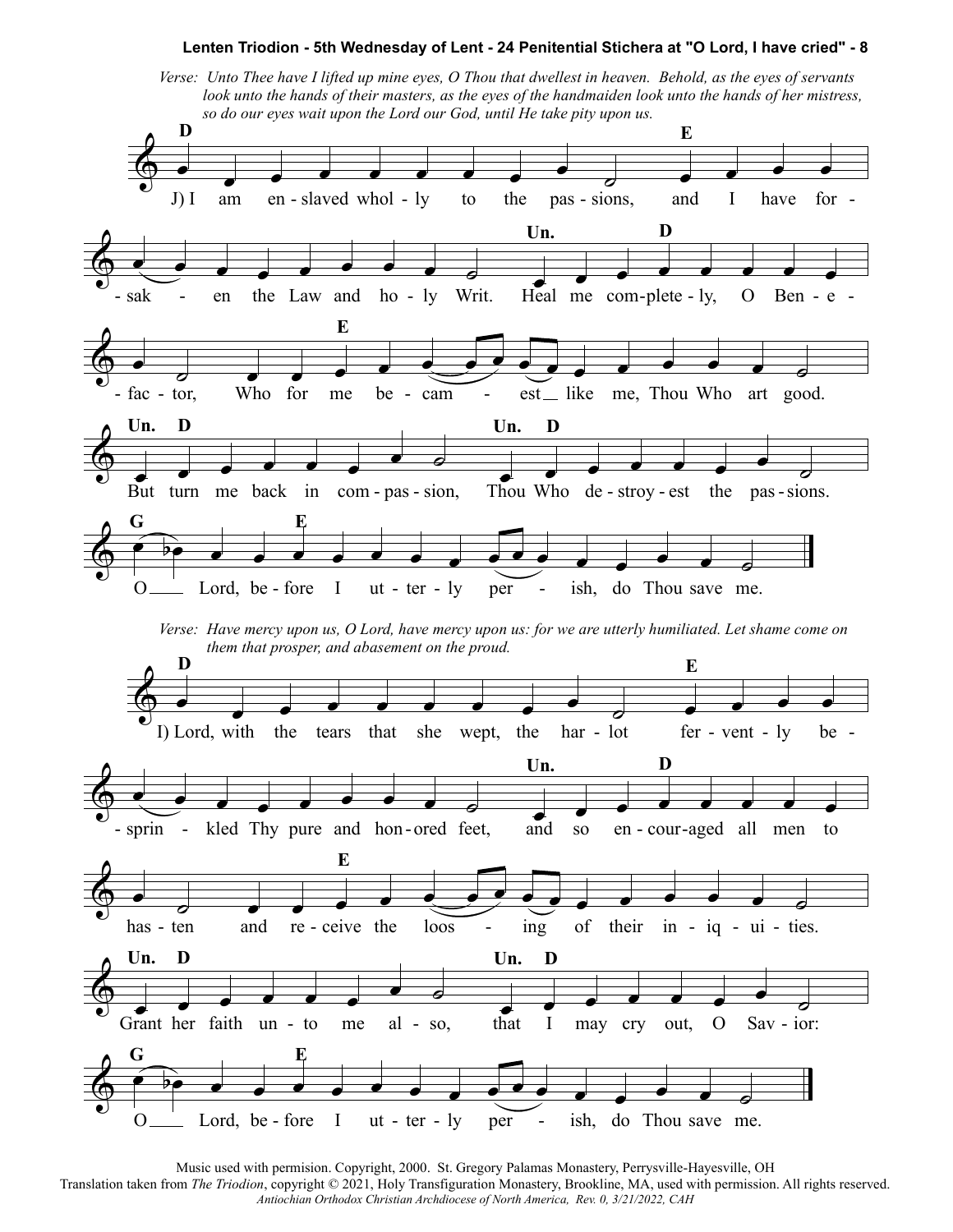Verse: Unto Thee have I lifted up mine eyes, O Thou that dwellest in heaven. Behold, as the eyes of servants look unto the hands of their masters, as the eyes of the handmaiden look unto the hands of her mistress, so do our eyes wait upon the Lord our God, until He take pity upon us.

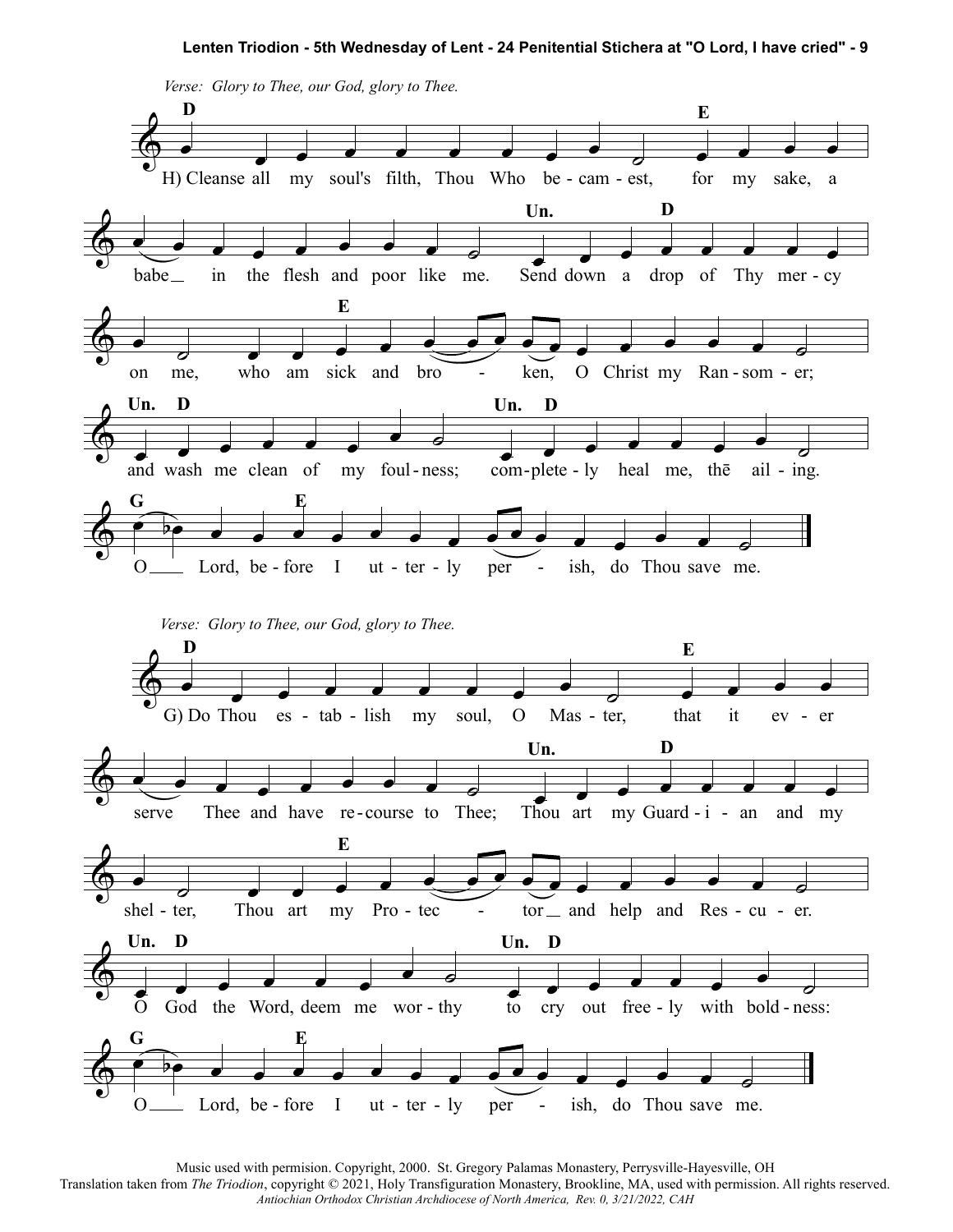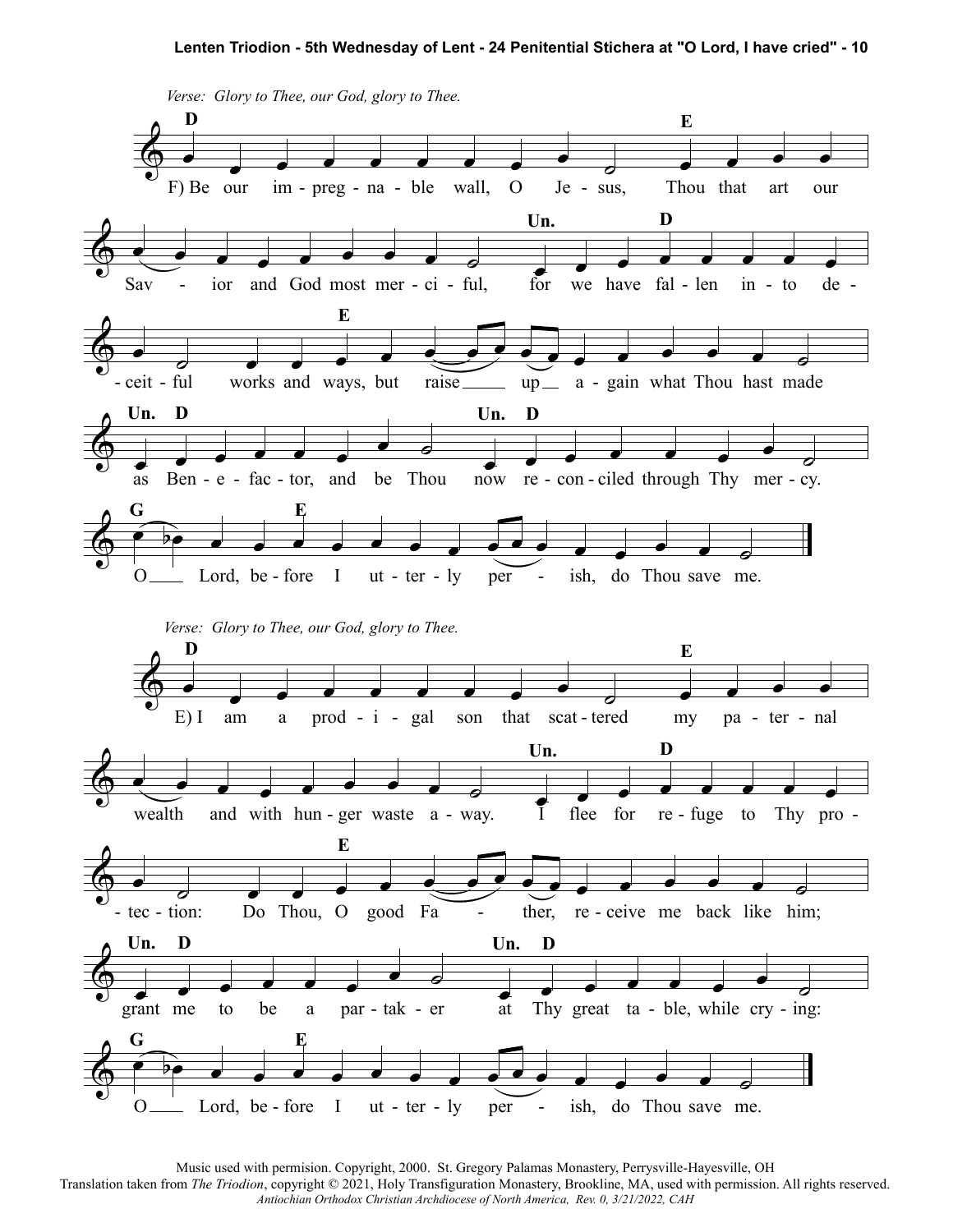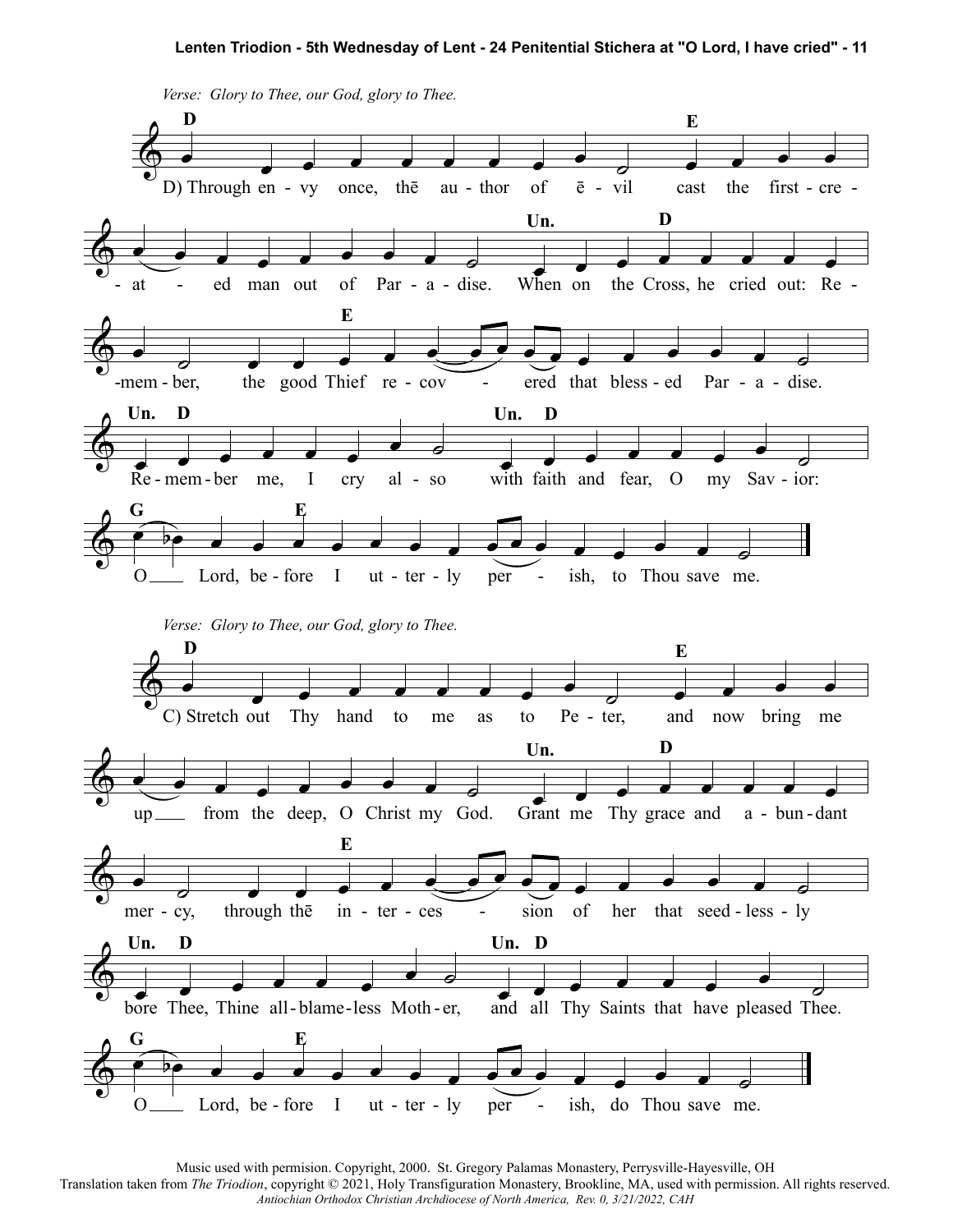